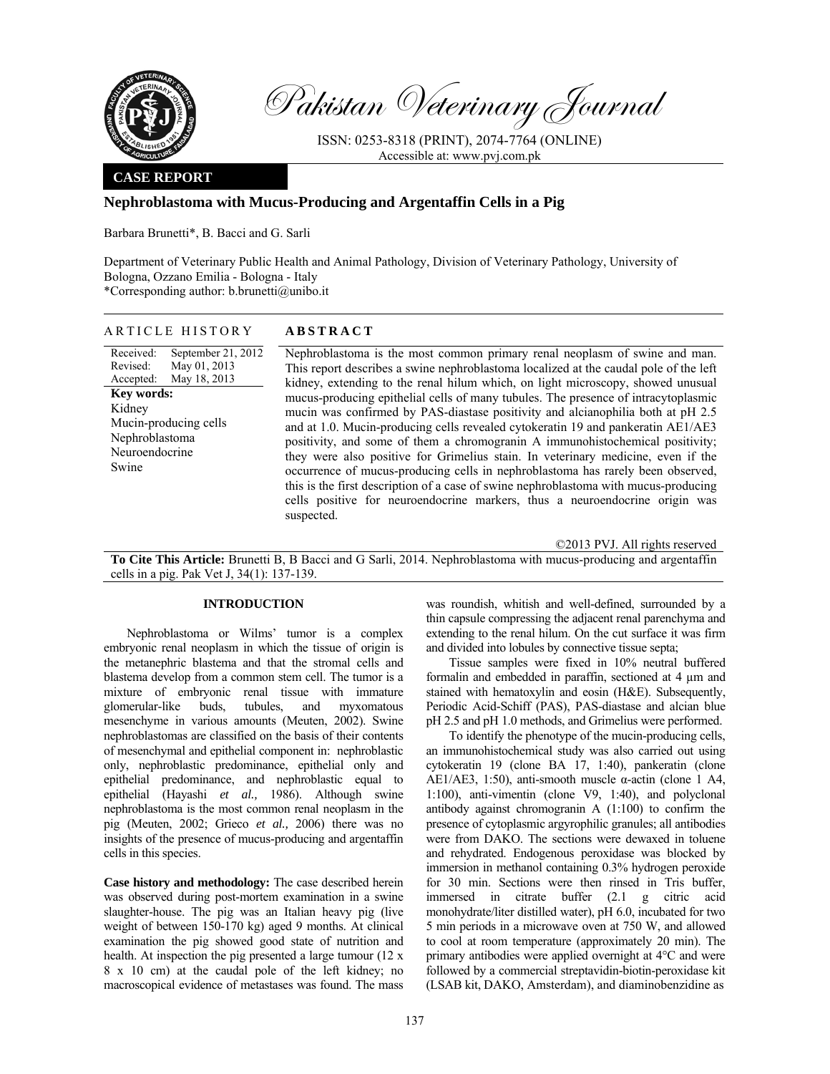

Pakistan Veterinary Journal

ISSN: 0253-8318 (PRINT), 2074-7764 (ONLINE) Accessible at: www.pvj.com.pk

### **CASE REPORT**

# **Nephroblastoma with Mucus-Producing and Argentaffin Cells in a Pig**

Barbara Brunetti\*, B. Bacci and G. Sarli

Department of Veterinary Public Health and Animal Pathology, Division of Veterinary Pathology, University of Bologna, Ozzano Emilia - Bologna - Italy \*Corresponding author: b.brunetti@unibo.it

#### ARTICLE HISTORY **ABSTRACT**

Received: Revised: Accepted: September 21, 2012 May 01, 2013 May 18, 2013 **Key words:**  Kidney Mucin-producing cells Nephroblastoma Neuroendocrine Swine

 Nephroblastoma is the most common primary renal neoplasm of swine and man. This report describes a swine nephroblastoma localized at the caudal pole of the left kidney, extending to the renal hilum which, on light microscopy, showed unusual mucus-producing epithelial cells of many tubules. The presence of intracytoplasmic mucin was confirmed by PAS-diastase positivity and alcianophilia both at pH 2.5 and at 1.0. Mucin-producing cells revealed cytokeratin 19 and pankeratin AE1/AE3 positivity, and some of them a chromogranin A immunohistochemical positivity; they were also positive for Grimelius stain. In veterinary medicine, even if the occurrence of mucus-producing cells in nephroblastoma has rarely been observed, this is the first description of a case of swine nephroblastoma with mucus-producing cells positive for neuroendocrine markers, thus a neuroendocrine origin was suspected.

©2013 PVJ. All rights reserved

**To Cite This Article:** Brunetti B, B Bacci and G Sarli, 2014. Nephroblastoma with mucus-producing and argentaffin cells in a pig. Pak Vet J, 34(1): 137-139.

## **INTRODUCTION**

Nephroblastoma or Wilms' tumor is a complex embryonic renal neoplasm in which the tissue of origin is the metanephric blastema and that the stromal cells and blastema develop from a common stem cell. The tumor is a mixture of embryonic renal tissue with immature glomerular-like buds, tubules, and myxomatous mesenchyme in various amounts (Meuten, 2002). Swine nephroblastomas are classified on the basis of their contents of mesenchymal and epithelial component in: nephroblastic only, nephroblastic predominance, epithelial only and epithelial predominance, and nephroblastic equal to epithelial (Hayashi *et al.,* 1986). Although swine nephroblastoma is the most common renal neoplasm in the pig (Meuten, 2002; Grieco *et al.,* 2006) there was no insights of the presence of mucus-producing and argentaffin cells in this species.

**Case history and methodology:** The case described herein was observed during post-mortem examination in a swine slaughter-house. The pig was an Italian heavy pig (live weight of between 150-170 kg) aged 9 months. At clinical examination the pig showed good state of nutrition and health. At inspection the pig presented a large tumour (12 x 8 x 10 cm) at the caudal pole of the left kidney; no macroscopical evidence of metastases was found. The mass

was roundish, whitish and well-defined, surrounded by a thin capsule compressing the adjacent renal parenchyma and extending to the renal hilum. On the cut surface it was firm and divided into lobules by connective tissue septa;

Tissue samples were fixed in 10% neutral buffered formalin and embedded in paraffin, sectioned at 4 µm and stained with hematoxylin and eosin (H&E). Subsequently, Periodic Acid-Schiff (PAS), PAS-diastase and alcian blue pH 2.5 and pH 1.0 methods, and Grimelius were performed.

To identify the phenotype of the mucin-producing cells, an immunohistochemical study was also carried out using cytokeratin 19 (clone BA 17, 1:40), pankeratin (clone AE1/AE3, 1:50), anti-smooth muscle  $\alpha$ -actin (clone 1 A4, 1:100), anti-vimentin (clone V9, 1:40), and polyclonal antibody against chromogranin A (1:100) to confirm the presence of cytoplasmic argyrophilic granules; all antibodies were from DAKO. The sections were dewaxed in toluene and rehydrated. Endogenous peroxidase was blocked by immersion in methanol containing 0.3% hydrogen peroxide for 30 min. Sections were then rinsed in Tris buffer, immersed in citrate buffer (2.1 g citric acid monohydrate/liter distilled water), pH 6.0, incubated for two 5 min periods in a microwave oven at 750 W, and allowed to cool at room temperature (approximately 20 min). The primary antibodies were applied overnight at 4°C and were followed by a commercial streptavidin-biotin-peroxidase kit (LSAB kit, DAKO, Amsterdam), and diaminobenzidine as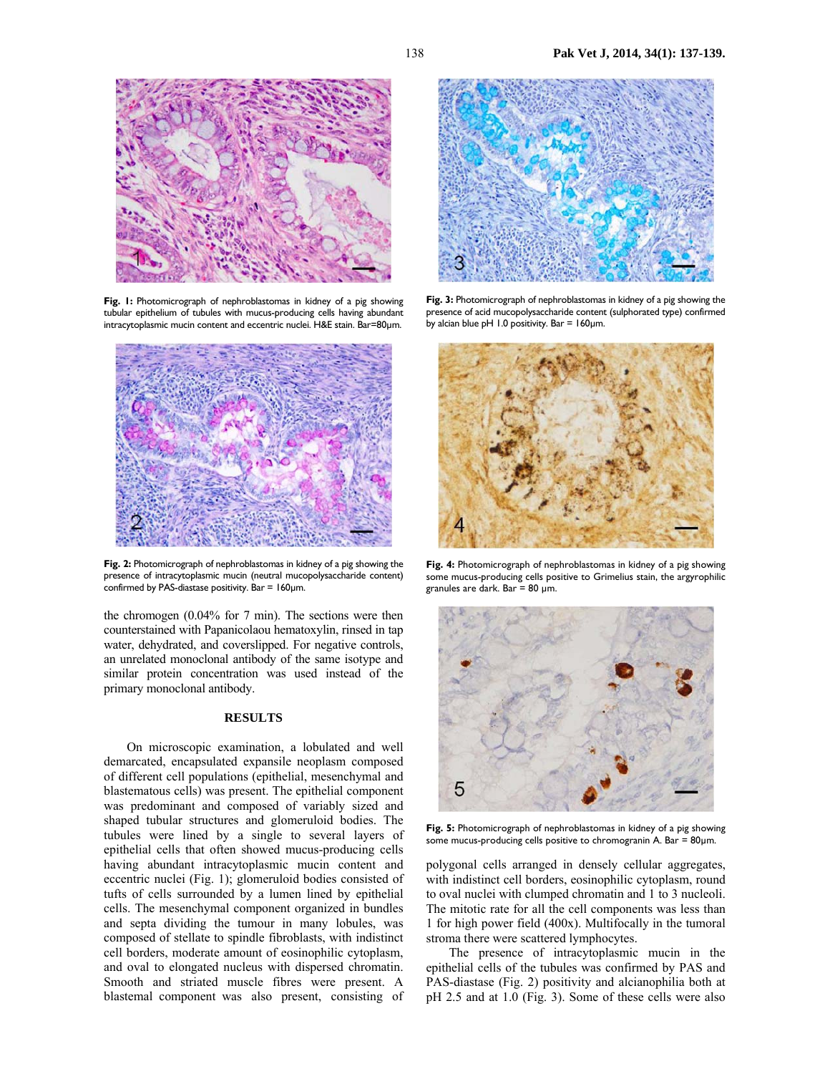

**Fig. 1:** Photomicrograph of nephroblastomas in kidney of a pig showing tubular epithelium of tubules with mucus-producing cells having abundant intracytoplasmic mucin content and eccentric nuclei. H&E stain. Bar=80µm.



**Fig. 2:** Photomicrograph of nephroblastomas in kidney of a pig showing the presence of intracytoplasmic mucin (neutral mucopolysaccharide content) confirmed by PAS-diastase positivity. Bar =  $160 \mu m$ .

the chromogen (0.04% for 7 min). The sections were then counterstained with Papanicolaou hematoxylin, rinsed in tap water, dehydrated, and coverslipped. For negative controls, an unrelated monoclonal antibody of the same isotype and similar protein concentration was used instead of the primary monoclonal antibody.

## **RESULTS**

On microscopic examination, a lobulated and well demarcated, encapsulated expansile neoplasm composed of different cell populations (epithelial, mesenchymal and blastematous cells) was present. The epithelial component was predominant and composed of variably sized and shaped tubular structures and glomeruloid bodies. The tubules were lined by a single to several layers of epithelial cells that often showed mucus-producing cells having abundant intracytoplasmic mucin content and eccentric nuclei (Fig. 1); glomeruloid bodies consisted of tufts of cells surrounded by a lumen lined by epithelial cells. The mesenchymal component organized in bundles and septa dividing the tumour in many lobules, was composed of stellate to spindle fibroblasts, with indistinct cell borders, moderate amount of eosinophilic cytoplasm, and oval to elongated nucleus with dispersed chromatin. Smooth and striated muscle fibres were present. A blastemal component was also present, consisting of



**Fig. 3:** Photomicrograph of nephroblastomas in kidney of a pig showing the presence of acid mucopolysaccharide content (sulphorated type) confirmed by alcian blue  $pH$  1.0 positivity. Bar = 160 $\mu$ m.



**Fig. 4:** Photomicrograph of nephroblastomas in kidney of a pig showing some mucus-producing cells positive to Grimelius stain, the argyrophilic granules are dark. Bar = 80  $\mu$ m.



**Fig. 5:** Photomicrograph of nephroblastomas in kidney of a pig showing some mucus-producing cells positive to chromogranin A. Bar =  $80 \mu m$ .

polygonal cells arranged in densely cellular aggregates, with indistinct cell borders, eosinophilic cytoplasm, round to oval nuclei with clumped chromatin and 1 to 3 nucleoli. The mitotic rate for all the cell components was less than 1 for high power field (400x). Multifocally in the tumoral stroma there were scattered lymphocytes.

The presence of intracytoplasmic mucin in the epithelial cells of the tubules was confirmed by PAS and PAS-diastase (Fig. 2) positivity and alcianophilia both at pH 2.5 and at 1.0 (Fig. 3). Some of these cells were also